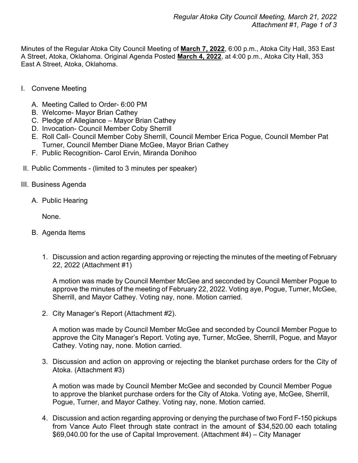Minutes of the Regular Atoka City Council Meeting of **March 7, 2022**, 6:00 p.m., Atoka City Hall, 353 East A Street, Atoka, Oklahoma. Original Agenda Posted **March 4, 2022**, at 4:00 p.m., Atoka City Hall, 353 East A Street, Atoka, Oklahoma.

- I. Convene Meeting
	- A. Meeting Called to Order- 6:00 PM
	- B. Welcome- Mayor Brian Cathey
	- C. Pledge of Allegiance Mayor Brian Cathey
	- D. Invocation- Council Member Coby Sherrill
	- E. Roll Call- Council Member Coby Sherrill, Council Member Erica Pogue, Council Member Pat Turner, Council Member Diane McGee, Mayor Brian Cathey
	- F. Public Recognition- Carol Ervin, Miranda Donihoo
- II. Public Comments (limited to 3 minutes per speaker)
- III. Business Agenda
	- A. Public Hearing

None.

- B. Agenda Items
	- 1. Discussion and action regarding approving or rejecting the minutes of the meeting of February 22, 2022 (Attachment #1)

A motion was made by Council Member McGee and seconded by Council Member Pogue to approve the minutes of the meeting of February 22, 2022. Voting aye, Pogue, Turner, McGee, Sherrill, and Mayor Cathey. Voting nay, none. Motion carried.

2. City Manager's Report (Attachment #2).

A motion was made by Council Member McGee and seconded by Council Member Pogue to approve the City Manager's Report. Voting aye, Turner, McGee, Sherrill, Pogue, and Mayor Cathey. Voting nay, none. Motion carried.

3. Discussion and action on approving or rejecting the blanket purchase orders for the City of Atoka. (Attachment #3)

A motion was made by Council Member McGee and seconded by Council Member Pogue to approve the blanket purchase orders for the City of Atoka. Voting aye, McGee, Sherrill, Pogue, Turner, and Mayor Cathey. Voting nay, none. Motion carried.

4. Discussion and action regarding approving or denying the purchase of two Ford F-150 pickups from Vance Auto Fleet through state contract in the amount of \$34,520.00 each totaling \$69,040.00 for the use of Capital Improvement. (Attachment #4) – City Manager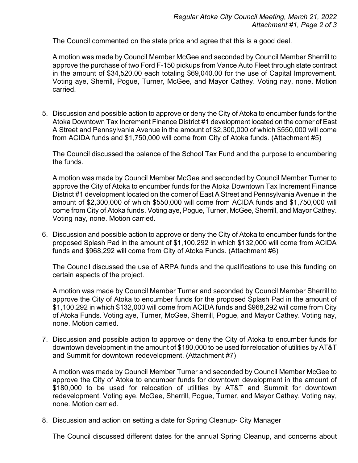The Council commented on the state price and agree that this is a good deal.

A motion was made by Council Member McGee and seconded by Council Member Sherrill to approve the purchase of two Ford F-150 pickups from Vance Auto Fleet through state contract in the amount of \$34,520.00 each totaling \$69,040.00 for the use of Capital Improvement. Voting aye, Sherrill, Pogue, Turner, McGee, and Mayor Cathey. Voting nay, none. Motion carried.

5. Discussion and possible action to approve or deny the City of Atoka to encumber funds for the Atoka Downtown Tax Increment Finance District #1 development located on the corner of East A Street and Pennsylvania Avenue in the amount of \$2,300,000 of which \$550,000 will come from ACIDA funds and \$1,750,000 will come from City of Atoka funds. (Attachment #5)

The Council discussed the balance of the School Tax Fund and the purpose to encumbering the funds.

A motion was made by Council Member McGee and seconded by Council Member Turner to approve the City of Atoka to encumber funds for the Atoka Downtown Tax Increment Finance District #1 development located on the corner of East A Street and Pennsylvania Avenue in the amount of \$2,300,000 of which \$550,000 will come from ACIDA funds and \$1,750,000 will come from City of Atoka funds. Voting aye, Pogue, Turner, McGee, Sherrill, and Mayor Cathey. Voting nay, none. Motion carried.

6. Discussion and possible action to approve or deny the City of Atoka to encumber funds for the proposed Splash Pad in the amount of \$1,100,292 in which \$132,000 will come from ACIDA funds and \$968,292 will come from City of Atoka Funds. (Attachment #6)

The Council discussed the use of ARPA funds and the qualifications to use this funding on certain aspects of the project.

A motion was made by Council Member Turner and seconded by Council Member Sherrill to approve the City of Atoka to encumber funds for the proposed Splash Pad in the amount of \$1,100,292 in which \$132,000 will come from ACIDA funds and \$968,292 will come from City of Atoka Funds. Voting aye, Turner, McGee, Sherrill, Pogue, and Mayor Cathey. Voting nay, none. Motion carried.

7. Discussion and possible action to approve or deny the City of Atoka to encumber funds for downtown development in the amount of \$180,000 to be used for relocation of utilities by AT&T and Summit for downtown redevelopment. (Attachment #7)

A motion was made by Council Member Turner and seconded by Council Member McGee to approve the City of Atoka to encumber funds for downtown development in the amount of \$180,000 to be used for relocation of utilities by AT&T and Summit for downtown redevelopment. Voting aye, McGee, Sherrill, Pogue, Turner, and Mayor Cathey. Voting nay, none. Motion carried.

8. Discussion and action on setting a date for Spring Cleanup- City Manager

The Council discussed different dates for the annual Spring Cleanup, and concerns about